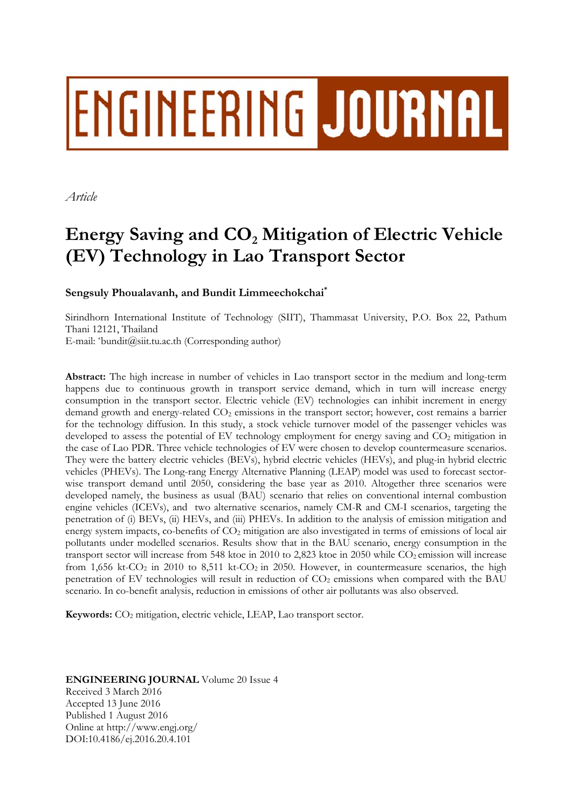# ENGINEERING JOURNAL

*Article* 

# Energy Saving and  $CO<sub>2</sub>$  Mitigation of Electric Vehicle **(EV) Technology in Lao Transport Sector**

# **Sengsuly Phoualavanh, and Bundit Limmeechokchai\***

Sirindhorn International Institute of Technology (SIIT), Thammasat University, P.O. Box 22, Pathum Thani 12121, Thailand

E-mail: \*bundit@siit.tu.ac.th (Corresponding author)

**Abstract:** The high increase in number of vehicles in Lao transport sector in the medium and long-term happens due to continuous growth in transport service demand, which in turn will increase energy consumption in the transport sector. Electric vehicle (EV) technologies can inhibit increment in energy demand growth and energy-related CO<sub>2</sub> emissions in the transport sector; however, cost remains a barrier for the technology diffusion. In this study, a stock vehicle turnover model of the passenger vehicles was developed to assess the potential of EV technology employment for energy saving and CO<sub>2</sub> mitigation in the case of Lao PDR. Three vehicle technologies of EV were chosen to develop countermeasure scenarios. They were the battery electric vehicles (BEVs), hybrid electric vehicles (HEVs), and plug-in hybrid electric vehicles (PHEVs). The Long-rang Energy Alternative Planning (LEAP) model was used to forecast sectorwise transport demand until 2050, considering the base year as 2010. Altogether three scenarios were developed namely, the business as usual (BAU) scenario that relies on conventional internal combustion engine vehicles (ICEVs), and two alternative scenarios, namely CM-R and CM-I scenarios, targeting the penetration of (i) BEVs, (ii) HEVs, and (iii) PHEVs. In addition to the analysis of emission mitigation and energy system impacts, co-benefits of  $CO<sub>2</sub>$  mitigation are also investigated in terms of emissions of local air pollutants under modelled scenarios. Results show that in the BAU scenario, energy consumption in the transport sector will increase from 548 ktoe in 2010 to 2,823 ktoe in 2050 while  $CO<sub>2</sub>$  emission will increase from 1,656 kt-CO<sub>2</sub> in 2010 to 8,511 kt-CO<sub>2</sub> in 2050. However, in countermeasure scenarios, the high penetration of EV technologies will result in reduction of  $CO<sub>2</sub>$  emissions when compared with the BAU scenario. In co-benefit analysis, reduction in emissions of other air pollutants was also observed.

Keywords: CO<sub>2</sub> mitigation, electric vehicle, LEAP, Lao transport sector.

# **ENGINEERING JOURNAL** Volume 20 Issue 4 Received 3 March 2016 Accepted 13 June 2016 Published 1 August 2016 Online at http://www.engj.org/ DOI:10.4186/ej.2016.20.4.101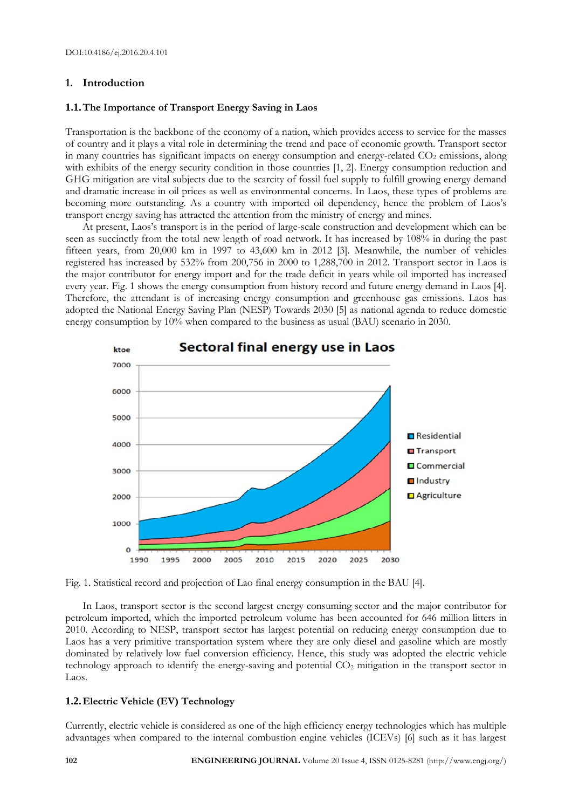# **1. Introduction**

#### **1.1.The Importance of Transport Energy Saving in Laos**

Transportation is the backbone of the economy of a nation, which provides access to service for the masses of country and it plays a vital role in determining the trend and pace of economic growth. Transport sector in many countries has significant impacts on energy consumption and energy-related  $CO<sub>2</sub>$  emissions, along with exhibits of the energy security condition in those countries [1, 2]. Energy consumption reduction and GHG mitigation are vital subjects due to the scarcity of fossil fuel supply to fulfill growing energy demand and dramatic increase in oil prices as well as environmental concerns. In Laos, these types of problems are becoming more outstanding. As a country with imported oil dependency, hence the problem of Laos's transport energy saving has attracted the attention from the ministry of energy and mines.

At present, Laos's transport is in the period of large-scale construction and development which can be seen as succinctly from the total new length of road network. It has increased by 108% in during the past fifteen years, from 20,000 km in 1997 to 43,600 km in 2012 [3]. Meanwhile, the number of vehicles registered has increased by 532% from 200,756 in 2000 to 1,288,700 in 2012. Transport sector in Laos is the major contributor for energy import and for the trade deficit in years while oil imported has increased every year. Fig. 1 shows the energy consumption from history record and future energy demand in Laos [4]. Therefore, the attendant is of increasing energy consumption and greenhouse gas emissions. Laos has adopted the National Energy Saving Plan (NESP) Towards 2030 [5] as national agenda to reduce domestic energy consumption by 10% when compared to the business as usual (BAU) scenario in 2030.



Fig. 1. Statistical record and projection of Lao final energy consumption in the BAU [4].

In Laos, transport sector is the second largest energy consuming sector and the major contributor for petroleum imported, which the imported petroleum volume has been accounted for 646 million litters in 2010. According to NESP, transport sector has largest potential on reducing energy consumption due to Laos has a very primitive transportation system where they are only diesel and gasoline which are mostly dominated by relatively low fuel conversion efficiency. Hence, this study was adopted the electric vehicle technology approach to identify the energy-saving and potential CO2 mitigation in the transport sector in Laos.

# **1.2.Electric Vehicle (EV) Technology**

Currently, electric vehicle is considered as one of the high efficiency energy technologies which has multiple advantages when compared to the internal combustion engine vehicles (ICEVs) [6] such as it has largest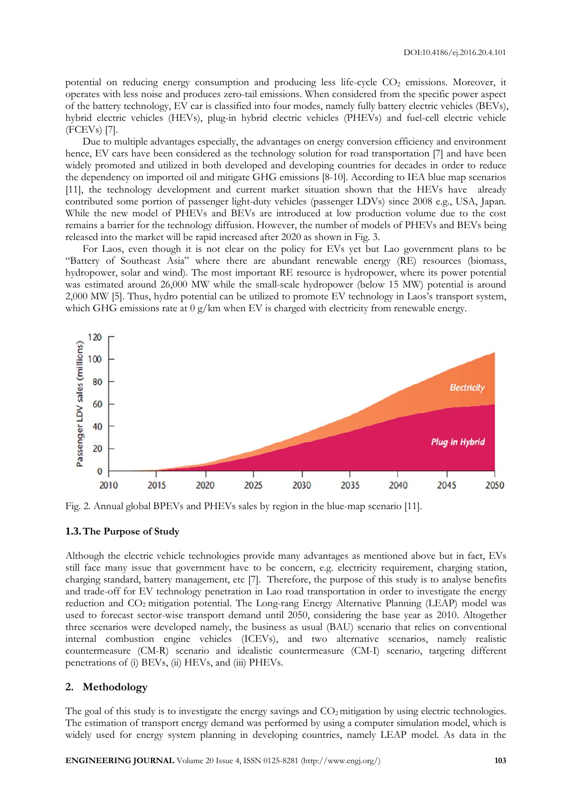potential on reducing energy consumption and producing less life-cycle CO<sub>2</sub> emissions. Moreover, it operates with less noise and produces zero-tail emissions. When considered from the specific power aspect of the battery technology, EV car is classified into four modes, namely fully battery electric vehicles (BEVs), hybrid electric vehicles (HEVs), plug-in hybrid electric vehicles (PHEVs) and fuel-cell electric vehicle (FCEVs) [7].

Due to multiple advantages especially, the advantages on energy conversion efficiency and environment hence, EV cars have been considered as the technology solution for road transportation [7] and have been widely promoted and utilized in both developed and developing countries for decades in order to reduce the dependency on imported oil and mitigate GHG emissions [8-10]. According to IEA blue map scenarios [11], the technology development and current market situation shown that the HEVs have already contributed some portion of passenger light-duty vehicles (passenger LDVs) since 2008 e.g., USA, Japan. While the new model of PHEVs and BEVs are introduced at low production volume due to the cost remains a barrier for the technology diffusion. However, the number of models of PHEVs and BEVs being released into the market will be rapid increased after 2020 as shown in Fig. 3.

For Laos, even though it is not clear on the policy for EVs yet but Lao government plans to be "Battery of Southeast Asia" where there are abundant renewable energy (RE) resources (biomass, hydropower, solar and wind). The most important RE resource is hydropower, where its power potential was estimated around 26,000 MW while the small-scale hydropower (below 15 MW) potential is around 2,000 MW [5]. Thus, hydro potential can be utilized to promote EV technology in Laos's transport system, which GHG emissions rate at 0 g/km when EV is charged with electricity from renewable energy.



Fig. 2. Annual global BPEVs and PHEVs sales by region in the blue-map scenario [11].

#### **1.3.The Purpose of Study**

Although the electric vehicle technologies provide many advantages as mentioned above but in fact, EVs still face many issue that government have to be concern, e.g. electricity requirement, charging station, charging standard, battery management, etc [7]. Therefore, the purpose of this study is to analyse benefits and trade-off for EV technology penetration in Lao road transportation in order to investigate the energy reduction and CO<sub>2</sub> mitigation potential. The Long-rang Energy Alternative Planning (LEAP) model was used to forecast sector-wise transport demand until 2050, considering the base year as 2010. Altogether three scenarios were developed namely, the business as usual (BAU) scenario that relies on conventional internal combustion engine vehicles (ICEVs), and two alternative scenarios, namely realistic countermeasure (CM-R) scenario and idealistic countermeasure (CM-I) scenario, targeting different penetrations of (i) BEVs, (ii) HEVs, and (iii) PHEVs.

#### **2. Methodology**

The goal of this study is to investigate the energy savings and  $CO<sub>2</sub>$  mitigation by using electric technologies. The estimation of transport energy demand was performed by using a computer simulation model, which is widely used for energy system planning in developing countries, namely LEAP model. As data in the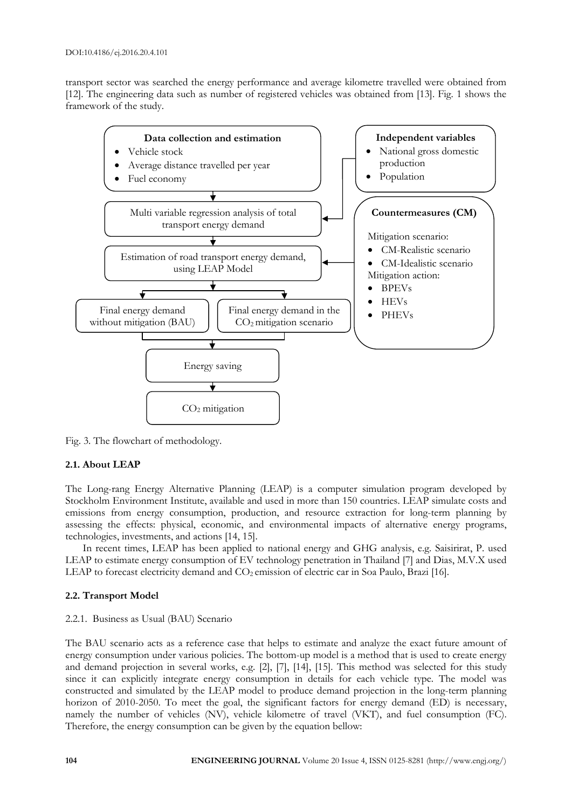transport sector was searched the energy performance and average kilometre travelled were obtained from [12]. The engineering data such as number of registered vehicles was obtained from [13]. Fig. 1 shows the framework of the study.



Fig. 3. The flowchart of methodology.

# **2.1. About LEAP**

The Long-rang Energy Alternative Planning (LEAP) is a computer simulation program developed by Stockholm Environment Institute, available and used in more than 150 countries. LEAP simulate costs and emissions from energy consumption, production, and resource extraction for long-term planning by assessing the effects: physical, economic, and environmental impacts of alternative energy programs, technologies, investments, and actions [14, 15].

In recent times, LEAP has been applied to national energy and GHG analysis, e.g. Saisirirat, P. used LEAP to estimate energy consumption of EV technology penetration in Thailand [7] and Dias, M.V.X used LEAP to forecast electricity demand and CO<sub>2</sub> emission of electric car in Soa Paulo, Brazi [16].

# **2.2. Transport Model**

#### 2.2.1. Business as Usual (BAU) Scenario

The BAU scenario acts as a reference case that helps to estimate and analyze the exact future amount of energy consumption under various policies. The bottom-up model is a method that is used to create energy and demand projection in several works, e.g. [2], [7], [14], [15]. This method was selected for this study since it can explicitly integrate energy consumption in details for each vehicle type. The model was constructed and simulated by the LEAP model to produce demand projection in the long-term planning horizon of 2010-2050. To meet the goal, the significant factors for energy demand (ED) is necessary, namely the number of vehicles (NV), vehicle kilometre of travel (VKT), and fuel consumption (FC). Therefore, the energy consumption can be given by the equation bellow: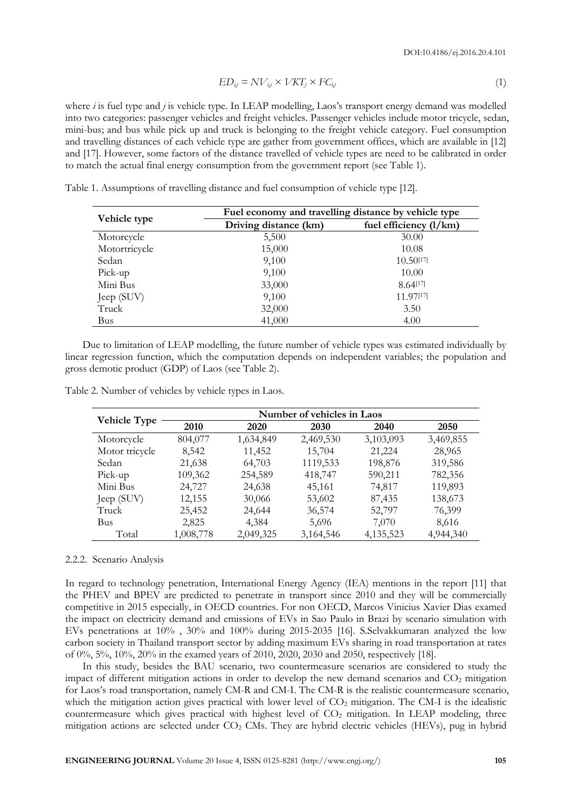$$
ED_{ij} = NV_{ij} \times VKT_j \times FC_{ij}
$$
\n
$$
(1)
$$

where *i* is fuel type and *j* is vehicle type. In LEAP modelling, Laos's transport energy demand was modelled into two categories: passenger vehicles and freight vehicles. Passenger vehicles include motor tricycle, sedan, mini-bus; and bus while pick up and truck is belonging to the freight vehicle category. Fuel consumption and travelling distances of each vehicle type are gather from government offices, which are available in [12] and [17]. However, some factors of the distance travelled of vehicle types are need to be calibrated in order to match the actual final energy consumption from the government report (see Table 1).

| Vehicle type  | Fuel economy and travelling distance by vehicle type |                          |  |  |
|---------------|------------------------------------------------------|--------------------------|--|--|
|               | Driving distance (km)                                | fuel efficiency $(l/km)$ |  |  |
| Motorcycle    | 5,500                                                | 30.00                    |  |  |
| Motortricycle | 15,000                                               | 10.08                    |  |  |
| Sedan         | 9,100                                                | 10.50[17]                |  |  |
| Pick-up       | 9,100                                                | 10.00                    |  |  |
| Mini Bus      | 33,000                                               | 8.64[17]                 |  |  |
| Jeep (SUV)    | 9,100                                                | 11.97[17]                |  |  |
| Truck         | 32,000                                               | 3.50                     |  |  |
| Bus           | 41,000                                               | 4.00                     |  |  |

Table 1. Assumptions of travelling distance and fuel consumption of vehicle type [12].

Due to limitation of LEAP modelling, the future number of vehicle types was estimated individually by linear regression function, which the computation depends on independent variables; the population and gross demotic product (GDP) of Laos (see Table 2).

| <b>Vehicle Type</b> | Number of vehicles in Laos |           |           |             |           |  |
|---------------------|----------------------------|-----------|-----------|-------------|-----------|--|
|                     | 2010                       | 2020      | 2030      | 2040        | 2050      |  |
| Motorcycle          | 804,077                    | 1,634,849 | 2,469,530 | 3,103,093   | 3,469,855 |  |
| Motor tricycle      | 8,542                      | 11,452    | 15,704    | 21,224      | 28,965    |  |
| Sedan               | 21,638                     | 64,703    | 1119,533  | 198,876     | 319,586   |  |
| Pick-up             | 109,362                    | 254,589   | 418,747   | 590,211     | 782,356   |  |
| Mini Bus            | 24,727                     | 24,638    | 45,161    | 74,817      | 119,893   |  |
| Jeep (SUV)          | 12,155                     | 30,066    | 53,602    | 87,435      | 138,673   |  |
| Truck               | 25,452                     | 24,644    | 36,574    | 52,797      | 76,399    |  |
| <b>Bus</b>          | 2,825                      | 4,384     | 5,696     | 7,070       | 8,616     |  |
| Total               | 1,008,778                  | 2,049,325 | 3,164,546 | 4, 135, 523 | 4,944,340 |  |
|                     |                            |           |           |             |           |  |

Table 2. Number of vehicles by vehicle types in Laos.

#### 2.2.2. Scenario Analysis

In regard to technology penetration, International Energy Agency (IEA) mentions in the report [11] that the PHEV and BPEV are predicted to penetrate in transport since 2010 and they will be commercially competitive in 2015 especially, in OECD countries. For non OECD, Marcos Vinicius Xavier Dias examed the impact on electricity demand and emissions of EVs in Sao Paulo in Brazi by scenario simulation with EVs penetrations at 10% , 30% and 100% during 2015-2035 [16]. S.Selvakkumaran analyzed the low carbon society in Thailand transport sector by adding maximum EVs sharing in road transportation at rates of 0%, 5%, 10%, 20% in the examed years of 2010, 2020, 2030 and 2050, respectively [18].

In this study, besides the BAU scenario, two countermeasure scenarios are considered to study the impact of different mitigation actions in order to develop the new demand scenarios and  $CO<sub>2</sub>$  mitigation for Laos's road transportation, namely CM-R and CM-I. The CM-R is the realistic countermeasure scenario, which the mitigation action gives practical with lower level of CO<sub>2</sub> mitigation. The CM-I is the idealistic countermeasure which gives practical with highest level of  $CO<sub>2</sub>$  mitigation. In LEAP modeling, three mitigation actions are selected under  $CO<sub>2</sub>$  CMs. They are hybrid electric vehicles (HEVs), pug in hybrid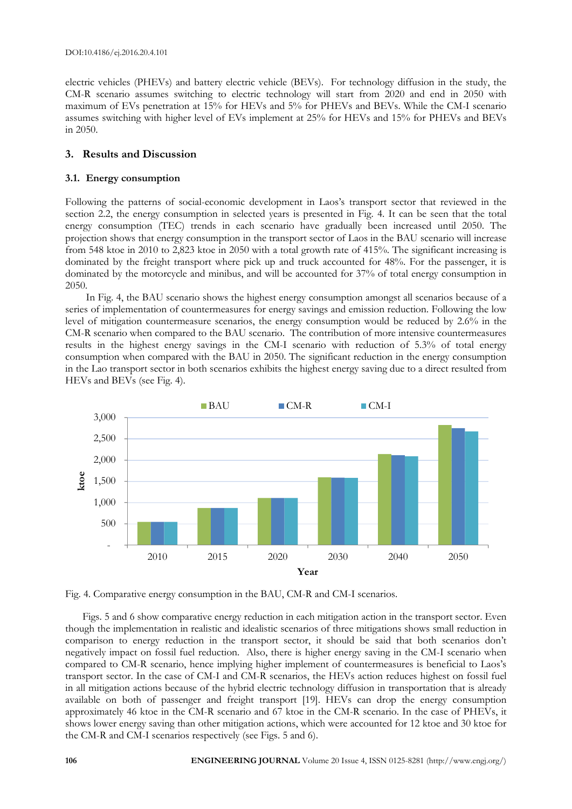electric vehicles (PHEVs) and battery electric vehicle (BEVs). For technology diffusion in the study, the CM-R scenario assumes switching to electric technology will start from 2020 and end in 2050 with maximum of EVs penetration at 15% for HEVs and 5% for PHEVs and BEVs. While the CM-I scenario assumes switching with higher level of EVs implement at 25% for HEVs and 15% for PHEVs and BEVs in 2050.

# **3. Results and Discussion**

#### **3.1. Energy consumption**

Following the patterns of social-economic development in Laos's transport sector that reviewed in the section 2.2, the energy consumption in selected years is presented in Fig. 4. It can be seen that the total energy consumption (TEC) trends in each scenario have gradually been increased until 2050. The projection shows that energy consumption in the transport sector of Laos in the BAU scenario will increase from 548 ktoe in 2010 to 2,823 ktoe in 2050 with a total growth rate of 415%. The significant increasing is dominated by the freight transport where pick up and truck accounted for 48%. For the passenger, it is dominated by the motorcycle and minibus, and will be accounted for 37% of total energy consumption in 2050.

In Fig. 4, the BAU scenario shows the highest energy consumption amongst all scenarios because of a series of implementation of countermeasures for energy savings and emission reduction. Following the low level of mitigation countermeasure scenarios, the energy consumption would be reduced by 2.6% in the CM-R scenario when compared to the BAU scenario. The contribution of more intensive countermeasures results in the highest energy savings in the CM-I scenario with reduction of 5.3% of total energy consumption when compared with the BAU in 2050. The significant reduction in the energy consumption in the Lao transport sector in both scenarios exhibits the highest energy saving due to a direct resulted from HEVs and BEVs (see Fig. 4).



Fig. 4. Comparative energy consumption in the BAU, CM-R and CM-I scenarios.

Figs. 5 and 6 show comparative energy reduction in each mitigation action in the transport sector. Even though the implementation in realistic and idealistic scenarios of three mitigations shows small reduction in comparison to energy reduction in the transport sector, it should be said that both scenarios don't negatively impact on fossil fuel reduction. Also, there is higher energy saving in the CM-I scenario when compared to CM-R scenario, hence implying higher implement of countermeasures is beneficial to Laos's transport sector. In the case of CM-I and CM-R scenarios, the HEVs action reduces highest on fossil fuel in all mitigation actions because of the hybrid electric technology diffusion in transportation that is already available on both of passenger and freight transport [19]. HEVs can drop the energy consumption approximately 46 ktoe in the CM-R scenario and 67 ktoe in the CM-R scenario. In the case of PHEVs, it shows lower energy saving than other mitigation actions, which were accounted for 12 ktoe and 30 ktoe for the CM-R and CM-I scenarios respectively (see Figs. 5 and 6).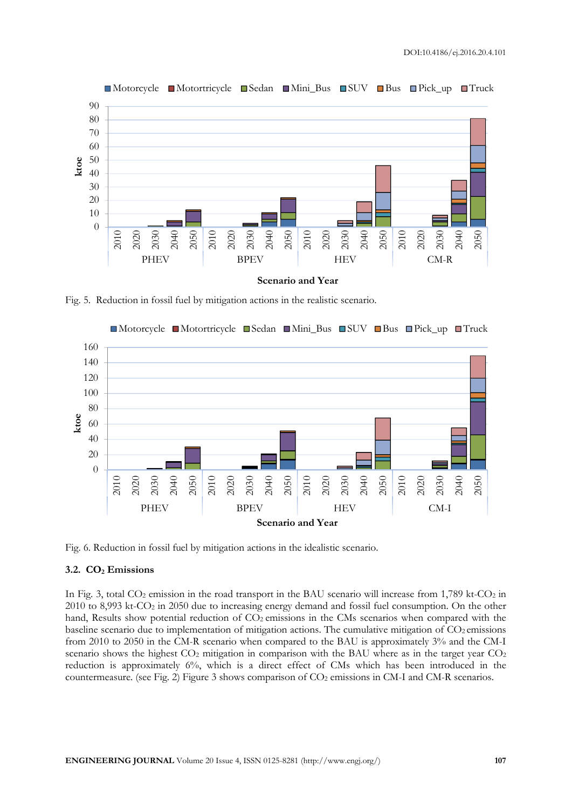

Motorcycle Motortricycle Sedan Mini\_Bus SUV Bus Pick\_up Truck

Fig. 5. Reduction in fossil fuel by mitigation actions in the realistic scenario.



Fig. 6. Reduction in fossil fuel by mitigation actions in the idealistic scenario.

#### **3.2. CO2 Emissions**

In Fig. 3, total  $CO_2$  emission in the road transport in the BAU scenario will increase from 1,789 kt- $CO_2$  in to 8,993 kt-CO<sub>2</sub> in 2050 due to increasing energy demand and fossil fuel consumption. On the other hand, Results show potential reduction of  $CO<sub>2</sub>$  emissions in the CMs scenarios when compared with the baseline scenario due to implementation of mitigation actions. The cumulative mitigation of  $CO<sub>2</sub>$  emissions from 2010 to 2050 in the CM-R scenario when compared to the BAU is approximately 3% and the CM-I scenario shows the highest  $CO<sub>2</sub>$  mitigation in comparison with the BAU where as in the target year  $CO<sub>2</sub>$ reduction is approximately 6%, which is a direct effect of CMs which has been introduced in the countermeasure. (see Fig. 2) Figure 3 shows comparison of CO<sub>2</sub> emissions in CM-I and CM-R scenarios.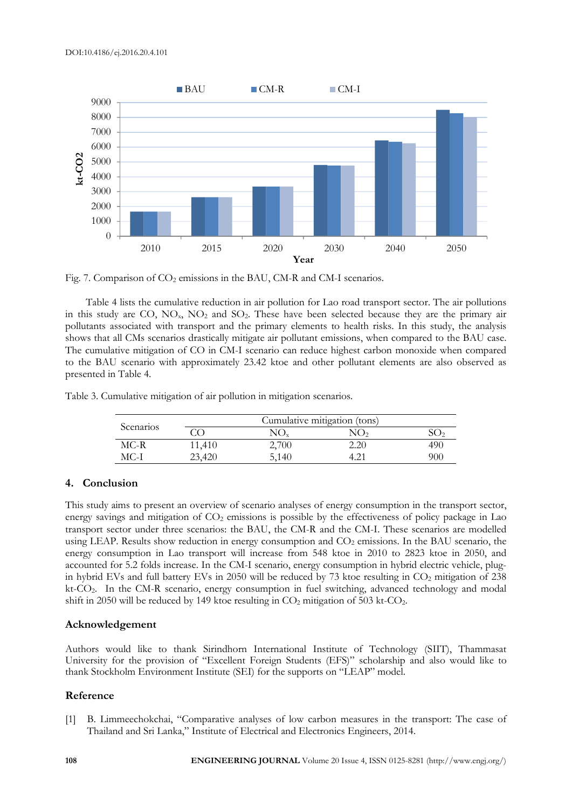

Fig. 7. Comparison of CO<sub>2</sub> emissions in the BAU, CM-R and CM-I scenarios.

Table 4 lists the cumulative reduction in air pollution for Lao road transport sector. The air pollutions in this study are CO,  $NO<sub>x</sub>$ ,  $NO<sub>2</sub>$  and  $SO<sub>2</sub>$ . These have been selected because they are the primary air pollutants associated with transport and the primary elements to health risks. In this study, the analysis shows that all CMs scenarios drastically mitigate air pollutant emissions, when compared to the BAU case. The cumulative mitigation of CO in CM-I scenario can reduce highest carbon monoxide when compared to the BAU scenario with approximately 23.42 ktoe and other pollutant elements are also observed as presented in Table 4.

Table 3. Cumulative mitigation of air pollution in mitigation scenarios.

| Scenarios |        | Cumulative mitigation (tons) |      |     |  |
|-----------|--------|------------------------------|------|-----|--|
|           |        |                              |      |     |  |
| MC-R      | 11,410 | 2,700                        | 2.20 | 490 |  |
| MC-I      | 23,420 | 5,140                        |      | 900 |  |

# **4. Conclusion**

This study aims to present an overview of scenario analyses of energy consumption in the transport sector, energy savings and mitigation of  $CO<sub>2</sub>$  emissions is possible by the effectiveness of policy package in Lao transport sector under three scenarios: the BAU, the CM-R and the CM-I. These scenarios are modelled using LEAP. Results show reduction in energy consumption and CO<sub>2</sub> emissions. In the BAU scenario, the energy consumption in Lao transport will increase from 548 ktoe in 2010 to 2823 ktoe in 2050, and accounted for 5.2 folds increase. In the CM-I scenario, energy consumption in hybrid electric vehicle, plugin hybrid EVs and full battery EVs in 2050 will be reduced by 73 ktoe resulting in  $CO<sub>2</sub>$  mitigation of 238 kt-CO2. In the CM-R scenario, energy consumption in fuel switching, advanced technology and modal shift in 2050 will be reduced by 149 ktoe resulting in  $CO<sub>2</sub>$  mitigation of 503 kt- $CO<sub>2</sub>$ .

#### **Acknowledgement**

Authors would like to thank Sirindhorn International Institute of Technology (SIIT), Thammasat University for the provision of "Excellent Foreign Students (EFS)" scholarship and also would like to thank Stockholm Environment Institute (SEI) for the supports on "LEAP" model.

#### **Reference**

[1] B. Limmeechokchai, "Comparative analyses of low carbon measures in the transport: The case of Thailand and Sri Lanka," Institute of Electrical and Electronics Engineers, 2014.